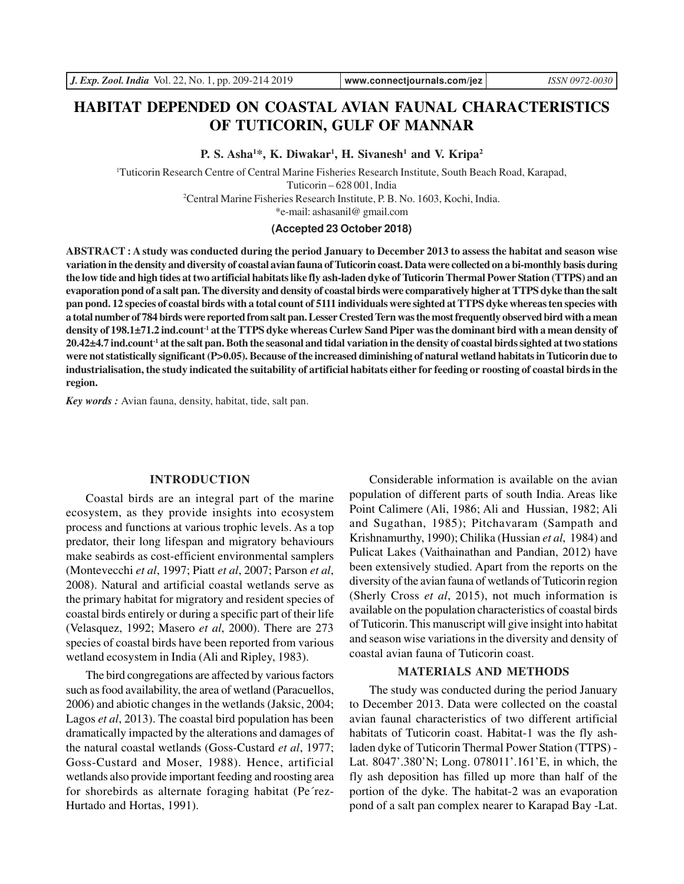# **HABITAT DEPENDED ON COASTAL AVIAN FAUNAL CHARACTERISTICS OF TUTICORIN, GULF OF MANNAR**

**P. S. Asha<sup>1</sup>\*, K. Diwakar<sup>1</sup> , H. Sivanesh<sup>1</sup> and V. Kripa<sup>2</sup>**

<sup>1</sup>Tuticorin Research Centre of Central Marine Fisheries Research Institute, South Beach Road, Karapad,

Tuticorin – 628 001, India

<sup>2</sup>Central Marine Fisheries Research Institute, P. B. No. 1603, Kochi, India.

\*e-mail: ashasanil@ gmail.com

## **(Accepted 23 October 2018)**

**ABSTRACT : A study was conducted during the period January to December 2013 to assess the habitat and season wise variation in the density and diversity of coastal avian fauna of Tuticorin coast. Data were collected on a bi-monthly basis during the low tide and high tides at two artificial habitats like fly ash-laden dyke of Tuticorin Thermal Power Station (TTPS) and an evaporation pond of a salt pan. The diversity and density of coastal birds were comparatively higher at TTPS dyke than the salt pan pond. 12 species of coastal birds with a total count of 5111 individuals were sighted at TTPS dyke whereas ten species with a total number of 784 birds were reported from salt pan. Lesser Crested Tern was the most frequently observed bird with a mean density of 198.1±71.2 ind.count-1 at the TTPS dyke whereas Curlew Sand Piper was the dominant bird with a mean density of 20.42±4.7 ind.count-1 at the salt pan. Both the seasonal and tidal variation in the density of coastal birds sighted at two stations were not statistically significant (P>0.05). Because of the increased diminishing of natural wetland habitats in Tuticorin due to industrialisation, the study indicated the suitability of artificial habitats either for feeding or roosting of coastal birds in the region.**

*Key words :* Avian fauna, density, habitat, tide, salt pan.

#### **INTRODUCTION**

Coastal birds are an integral part of the marine ecosystem, as they provide insights into ecosystem process and functions at various trophic levels. As a top predator, their long lifespan and migratory behaviours make seabirds as cost-efficient environmental samplers (Montevecchi *et al*, 1997; Piatt *et al*, 2007; Parson *et al*, 2008). Natural and artificial coastal wetlands serve as the primary habitat for migratory and resident species of coastal birds entirely or during a specific part of their life (Velasquez, 1992; Masero *et al*, 2000). There are 273 species of coastal birds have been reported from various wetland ecosystem in India (Ali and Ripley, 1983).

The bird congregations are affected by various factors such as food availability, the area of wetland (Paracuellos, 2006) and abiotic changes in the wetlands (Jaksic, 2004; Lagos *et al*, 2013). The coastal bird population has been dramatically impacted by the alterations and damages of the natural coastal wetlands (Goss-Custard *et al*, 1977; Goss-Custard and Moser, 1988). Hence, artificial wetlands also provide important feeding and roosting area for shorebirds as alternate foraging habitat (Pe´rez-Hurtado and Hortas, 1991).

Considerable information is available on the avian population of different parts of south India. Areas like Point Calimere (Ali, 1986; Ali and Hussian, 1982; Ali and Sugathan, 1985); Pitchavaram (Sampath and Krishnamurthy, 1990); Chilika (Hussian *et al*, 1984) and Pulicat Lakes (Vaithainathan and Pandian, 2012) have been extensively studied. Apart from the reports on the diversity of the avian fauna of wetlands of Tuticorin region (Sherly Cross *et al*, 2015), not much information is available on the population characteristics of coastal birds of Tuticorin. This manuscript will give insight into habitat and season wise variations in the diversity and density of coastal avian fauna of Tuticorin coast.

#### **MATERIALS AND METHODS**

The study was conducted during the period January to December 2013. Data were collected on the coastal avian faunal characteristics of two different artificial habitats of Tuticorin coast. Habitat-1 was the fly ashladen dyke of Tuticorin Thermal Power Station (TTPS) - Lat. 8047'.380'N; Long. 078011'.161'E, in which, the fly ash deposition has filled up more than half of the portion of the dyke. The habitat-2 was an evaporation pond of a salt pan complex nearer to Karapad Bay -Lat.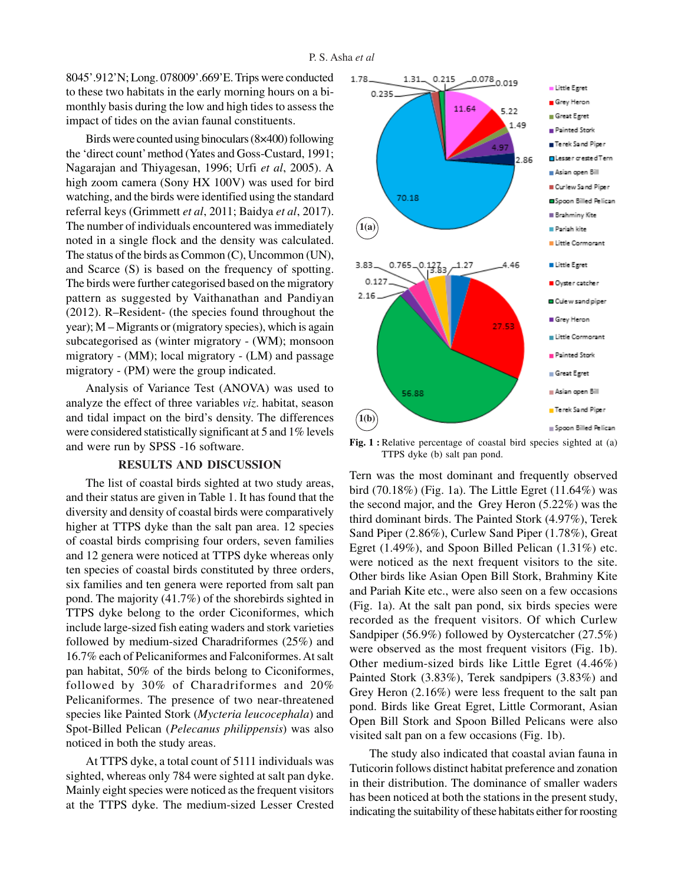8045'.912'N; Long. 078009'.669'E. Trips were conducted to these two habitats in the early morning hours on a bimonthly basis during the low and high tides to assess the impact of tides on the avian faunal constituents.

Birds were counted using binoculars (8×400) following the 'direct count' method (Yates and Goss-Custard, 1991; Nagarajan and Thiyagesan, 1996; Urfi *et al*, 2005). A high zoom camera (Sony HX 100V) was used for bird watching, and the birds were identified using the standard referral keys (Grimmett *et al*, 2011; Baidya *et al*, 2017). The number of individuals encountered was immediately noted in a single flock and the density was calculated. The status of the birds as Common (C), Uncommon (UN), and Scarce (S) is based on the frequency of spotting. The birds were further categorised based on the migratory pattern as suggested by Vaithanathan and Pandiyan (2012). R–Resident- (the species found throughout the year); M – Migrants or (migratory species), which is again subcategorised as (winter migratory - (WM); monsoon migratory - (MM); local migratory - (LM) and passage migratory - (PM) were the group indicated.

Analysis of Variance Test (ANOVA) was used to analyze the effect of three variables *viz*. habitat, season and tidal impact on the bird's density. The differences were considered statistically significant at 5 and 1% levels and were run by SPSS -16 software.

#### **RESULTS AND DISCUSSION**

The list of coastal birds sighted at two study areas, and their status are given in Table 1. It has found that the diversity and density of coastal birds were comparatively higher at TTPS dyke than the salt pan area. 12 species of coastal birds comprising four orders, seven families and 12 genera were noticed at TTPS dyke whereas only ten species of coastal birds constituted by three orders, six families and ten genera were reported from salt pan pond. The majority (41.7%) of the shorebirds sighted in TTPS dyke belong to the order Ciconiformes, which include large-sized fish eating waders and stork varieties followed by medium-sized Charadriformes (25%) and 16.7% each of Pelicaniformes and Falconiformes. At salt pan habitat, 50% of the birds belong to Ciconiformes, followed by 30% of Charadriformes and 20% Pelicaniformes. The presence of two near-threatened species like Painted Stork (*Mycteria leucocephala*) and Spot-Billed Pelican (*Pelecanus philippensis*) was also noticed in both the study areas.

At TTPS dyke, a total count of 5111 individuals was sighted, whereas only 784 were sighted at salt pan dyke. Mainly eight species were noticed as the frequent visitors at the TTPS dyke. The medium-sized Lesser Crested



**Fig. 1 :** Relative percentage of coastal bird species sighted at (a) TTPS dyke (b) salt pan pond.

Tern was the most dominant and frequently observed bird (70.18%) (Fig. 1a). The Little Egret (11.64%) was the second major, and the Grey Heron (5.22%) was the third dominant birds. The Painted Stork (4.97%), Terek Sand Piper (2.86%), Curlew Sand Piper (1.78%), Great Egret (1.49%), and Spoon Billed Pelican (1.31%) etc. were noticed as the next frequent visitors to the site. Other birds like Asian Open Bill Stork, Brahminy Kite and Pariah Kite etc., were also seen on a few occasions (Fig. 1a). At the salt pan pond, six birds species were recorded as the frequent visitors. Of which Curlew Sandpiper (56.9%) followed by Oystercatcher (27.5%) were observed as the most frequent visitors (Fig. 1b). Other medium-sized birds like Little Egret (4.46%) Painted Stork (3.83%), Terek sandpipers (3.83%) and Grey Heron (2.16%) were less frequent to the salt pan pond. Birds like Great Egret, Little Cormorant, Asian Open Bill Stork and Spoon Billed Pelicans were also visited salt pan on a few occasions (Fig. 1b).

The study also indicated that coastal avian fauna in Tuticorin follows distinct habitat preference and zonation in their distribution. The dominance of smaller waders has been noticed at both the stations in the present study, indicating the suitability of these habitats either for roosting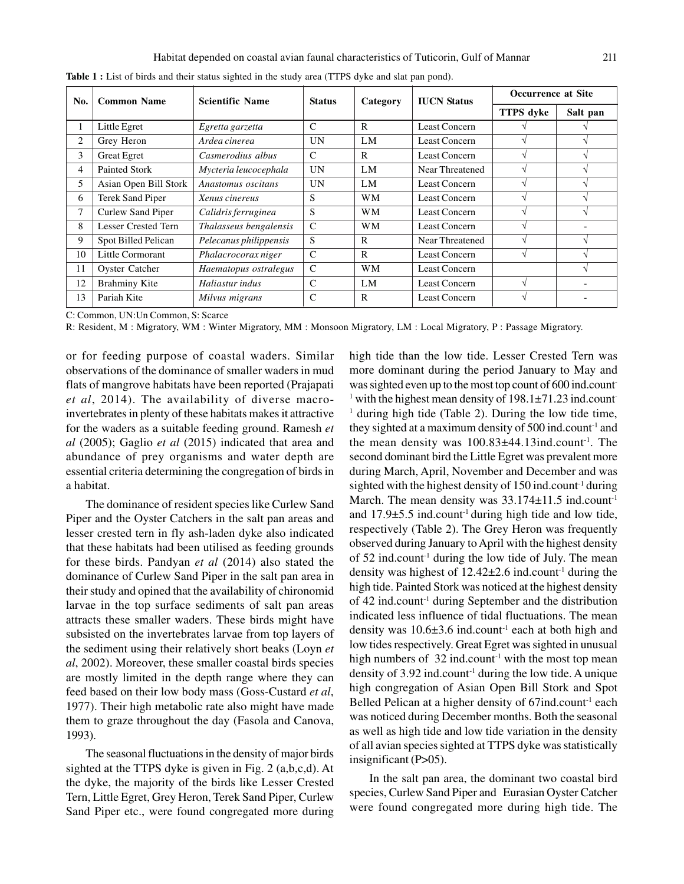| No. | <b>Common Name</b>         | <b>Scientific Name</b> | <b>Status</b> | Category  | <b>IUCN</b> Status | <b>Occurrence at Site</b> |               |
|-----|----------------------------|------------------------|---------------|-----------|--------------------|---------------------------|---------------|
|     |                            |                        |               |           |                    | <b>TTPS</b> dvke          | Salt pan      |
|     | Little Egret               | Egretta garzetta       | $\mathcal{C}$ | R         | Least Concern      |                           |               |
| 2   | Grey Heron                 | Ardea cinerea          | <b>UN</b>     | LM        | Least Concern      | $\mathcal{L}$             |               |
| 3   | <b>Great Egret</b>         | Casmerodius albus      | $\mathcal{C}$ | R         | Least Concern      | N                         |               |
| 4   | Painted Stork              | Mycteria leucocephala  | UN            | LM        | Near Threatened    | $\sqrt{ }$                |               |
| 5   | Asian Open Bill Stork      | Anastomus oscitans     | <b>UN</b>     | LM        | Least Concern      | $\mathcal{N}$             |               |
| 6   | <b>Terek Sand Piper</b>    | Xenus cinereus         | S             | WМ        | Least Concern      | $\mathcal{N}$             | ٦I            |
| 7   | Curlew Sand Piper          | Calidris ferruginea    | S             | <b>WM</b> | Least Concern      | $\mathcal{L}$             |               |
| 8   | <b>Lesser Crested Tern</b> | Thalasseus bengalensis | $\mathcal{C}$ | WM        | Least Concern      | $\sqrt{ }$                |               |
| 9   | Spot Billed Pelican        | Pelecanus philippensis | <sub>S</sub>  | R         | Near Threatened    | $\mathcal{N}$             | $\mathcal{L}$ |
| 10  | Little Cormorant           | Phalacrocorax niger    | $\mathcal{C}$ | R         | Least Concern      | N                         |               |
| 11  | <b>Oyster Catcher</b>      | Haematopus ostralegus  | $\mathcal{C}$ | <b>WM</b> | Least Concern      |                           |               |
| 12  | <b>Brahminy Kite</b>       | Haliastur indus        | $\mathcal{C}$ | LM        | Least Concern      | $\sqrt{ }$                |               |
| 13  | Pariah Kite                | Milvus migrans         | $\mathcal{C}$ | R         | Least Concern      |                           |               |

**Table 1 :** List of birds and their status sighted in the study area (TTPS dyke and slat pan pond).

C: Common, UN:Un Common, S: Scarce

R: Resident, M : Migratory, WM : Winter Migratory, MM : Monsoon Migratory, LM : Local Migratory, P : Passage Migratory.

or for feeding purpose of coastal waders. Similar observations of the dominance of smaller waders in mud flats of mangrove habitats have been reported (Prajapati *et al*, 2014). The availability of diverse macroinvertebrates in plenty of these habitats makes it attractive for the waders as a suitable feeding ground. Ramesh *et al* (2005); Gaglio *et al* (2015) indicated that area and abundance of prey organisms and water depth are essential criteria determining the congregation of birds in a habitat.

The dominance of resident species like Curlew Sand Piper and the Oyster Catchers in the salt pan areas and lesser crested tern in fly ash-laden dyke also indicated that these habitats had been utilised as feeding grounds for these birds. Pandyan *et al* (2014) also stated the dominance of Curlew Sand Piper in the salt pan area in their study and opined that the availability of chironomid larvae in the top surface sediments of salt pan areas attracts these smaller waders. These birds might have subsisted on the invertebrates larvae from top layers of the sediment using their relatively short beaks (Loyn *et al*, 2002). Moreover, these smaller coastal birds species are mostly limited in the depth range where they can feed based on their low body mass (Goss-Custard *et al*, 1977). Their high metabolic rate also might have made them to graze throughout the day (Fasola and Canova, 1993).

The seasonal fluctuations in the density of major birds sighted at the TTPS dyke is given in Fig. 2 (a,b,c,d). At the dyke, the majority of the birds like Lesser Crested Tern, Little Egret, Grey Heron, Terek Sand Piper, Curlew Sand Piper etc., were found congregated more during high tide than the low tide. Lesser Crested Tern was more dominant during the period January to May and was sighted even up to the most top count of 600 ind.count-<sup>1</sup> with the highest mean density of 198.1±71.23 ind.count <sup>1</sup> during high tide (Table 2). During the low tide time, they sighted at a maximum density of  $500$  ind.count<sup>-1</sup> and the mean density was  $100.83\pm44.13$  ind.count<sup>-1</sup>. The second dominant bird the Little Egret was prevalent more during March, April, November and December and was sighted with the highest density of 150 ind.count<sup>-1</sup> during March. The mean density was  $33.174 \pm 11.5$  ind.count<sup>-1</sup> and  $17.9\pm5.5$  ind.count<sup>-1</sup> during high tide and low tide, respectively (Table 2). The Grey Heron was frequently observed during January to April with the highest density of  $52$  ind.count<sup>-1</sup> during the low tide of July. The mean density was highest of  $12.42\pm2.6$  ind.count<sup>-1</sup> during the high tide. Painted Stork was noticed at the highest density of 42 ind.count-1 during September and the distribution indicated less influence of tidal fluctuations. The mean density was  $10.6\pm3.6$  ind.count<sup>-1</sup> each at both high and low tides respectively. Great Egret was sighted in unusual high numbers of  $32$  ind.count<sup>-1</sup> with the most top mean density of 3.92 ind.count-1 during the low tide. A unique high congregation of Asian Open Bill Stork and Spot Belled Pelican at a higher density of 67ind.count<sup>-1</sup> each was noticed during December months. Both the seasonal as well as high tide and low tide variation in the density of all avian species sighted at TTPS dyke was statistically insignificant (P>05).

In the salt pan area, the dominant two coastal bird species, Curlew Sand Piper and Eurasian Oyster Catcher were found congregated more during high tide. The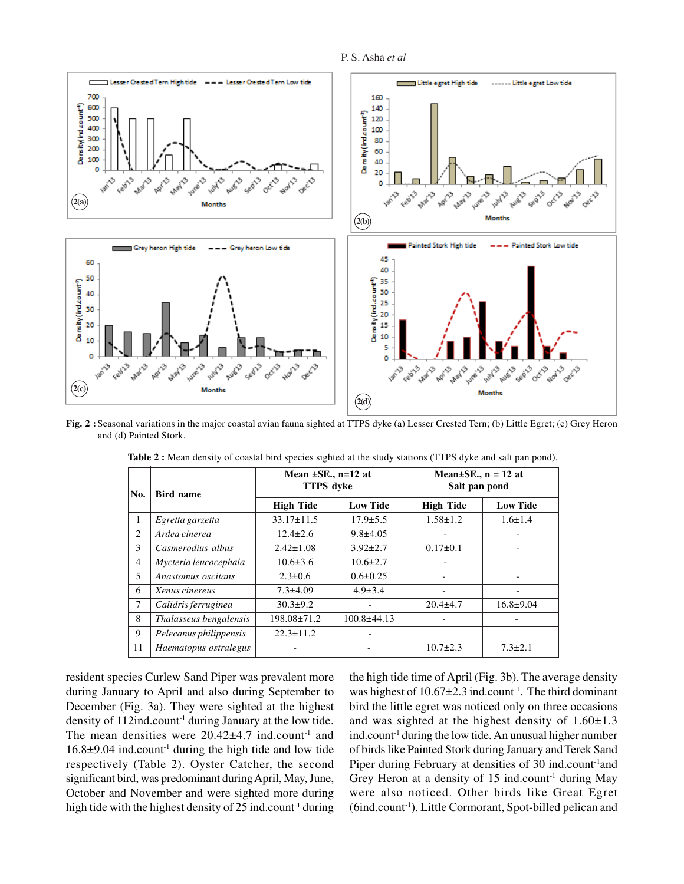



**Fig. 2 :**Seasonal variations in the major coastal avian fauna sighted at TTPS dyke (a) Lesser Crested Tern; (b) Little Egret; (c) Grey Heron and (d) Painted Stork.

| No.            | <b>Bird name</b>       | Mean $\pm$ SE., n=12 at<br><b>TTPS</b> dvke |                 | Mean $\pm$ SE., n = 12 at<br>Salt pan pond |                 |  |  |  |  |
|----------------|------------------------|---------------------------------------------|-----------------|--------------------------------------------|-----------------|--|--|--|--|
|                |                        | <b>High Tide</b>                            | <b>Low Tide</b> | <b>High Tide</b>                           | <b>Low Tide</b> |  |  |  |  |
| 1              | Egretta garzetta       | $33.17 \pm 11.5$                            | $17.9 \pm 5.5$  | $1.58 \pm 1.2$                             | $1.6 \pm 1.4$   |  |  |  |  |
| 2              | Ardea cinerea          | $12.4 \pm 2.6$                              | $9.8 + 4.05$    |                                            |                 |  |  |  |  |
| 3              | Casmerodius albus      | $2.42 \pm 1.08$                             | $3.92 \pm 2.7$  | $0.17 \pm 0.1$                             |                 |  |  |  |  |
| $\overline{4}$ | Mycteria leucocephala  | $10.6 \pm 3.6$                              | $10.6 \pm 2.7$  |                                            |                 |  |  |  |  |
| 5              | Anastomus oscitans     | $2.3 \pm 0.6$                               | $0.6 \pm 0.25$  |                                            |                 |  |  |  |  |
| 6              | Xenus cinereus         | $7.3 \pm 4.09$                              | $4.9 \pm 3.4$   |                                            |                 |  |  |  |  |
| 7              | Calidris ferruginea    | $30.3 \pm 9.2$                              |                 | $20.4 + 4.7$                               | $16.8 + 9.04$   |  |  |  |  |
| 8              | Thalasseus bengalensis | 198.08±71.2                                 | $100.8 + 44.13$ |                                            |                 |  |  |  |  |
| 9              | Pelecanus philippensis | $22.3 \pm 11.2$                             |                 |                                            |                 |  |  |  |  |
| 11             | Haematopus ostralegus  |                                             |                 | $10.7 \pm 2.3$                             | $7.3 \pm 2.1$   |  |  |  |  |
|                |                        |                                             |                 |                                            |                 |  |  |  |  |

**Table 2 :** Mean density of coastal bird species sighted at the study stations (TTPS dyke and salt pan pond).

resident species Curlew Sand Piper was prevalent more during January to April and also during September to December (Fig. 3a). They were sighted at the highest density of 112ind.count<sup>-1</sup> during January at the low tide. The mean densities were  $20.42\pm4.7$  ind.count<sup>-1</sup> and  $16.8\pm9.04$  ind.count<sup>-1</sup> during the high tide and low tide respectively (Table 2). Oyster Catcher, the second significant bird, was predominant during April, May, June, October and November and were sighted more during high tide with the highest density of  $25$  ind.count<sup>-1</sup> during the high tide time of April (Fig. 3b). The average density was highest of  $10.67 \pm 2.3$  ind.count<sup>-1</sup>. The third dominant bird the little egret was noticed only on three occasions and was sighted at the highest density of  $1.60 \pm 1.3$ ind.count<sup>-1</sup> during the low tide. An unusual higher number of birds like Painted Stork during January and Terek Sand Piper during February at densities of 30 ind.count<sup>-1</sup>and Grey Heron at a density of  $15$  ind.count<sup>-1</sup> during May were also noticed. Other birds like Great Egret (6ind.count-1). Little Cormorant, Spot-billed pelican and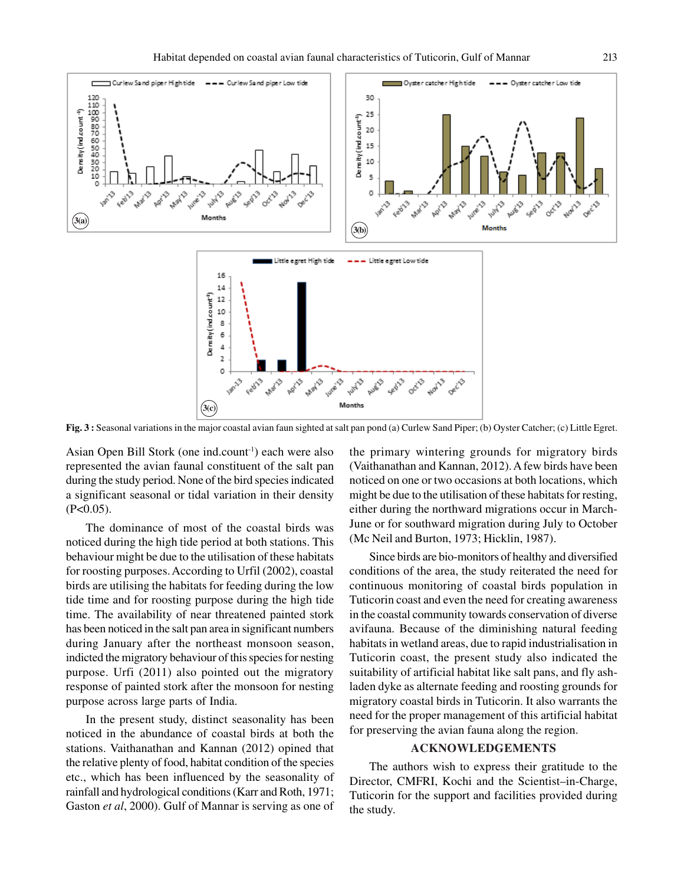

**Fig. 3 :** Seasonal variations in the major coastal avian faun sighted at salt pan pond (a) Curlew Sand Piper; (b) Oyster Catcher; (c) Little Egret.

Asian Open Bill Stork (one ind.count<sup>-1</sup>) each were also represented the avian faunal constituent of the salt pan during the study period. None of the bird species indicated a significant seasonal or tidal variation in their density  $(P<0.05)$ .

The dominance of most of the coastal birds was noticed during the high tide period at both stations. This behaviour might be due to the utilisation of these habitats for roosting purposes. According to Urfil (2002), coastal birds are utilising the habitats for feeding during the low tide time and for roosting purpose during the high tide time. The availability of near threatened painted stork has been noticed in the salt pan area in significant numbers during January after the northeast monsoon season, indicted the migratory behaviour of this species for nesting purpose. Urfi (2011) also pointed out the migratory response of painted stork after the monsoon for nesting purpose across large parts of India.

In the present study, distinct seasonality has been noticed in the abundance of coastal birds at both the stations. Vaithanathan and Kannan (2012) opined that the relative plenty of food, habitat condition of the species etc., which has been influenced by the seasonality of rainfall and hydrological conditions (Karr and Roth, 1971; Gaston *et al*, 2000). Gulf of Mannar is serving as one of the primary wintering grounds for migratory birds (Vaithanathan and Kannan, 2012). A few birds have been noticed on one or two occasions at both locations, which might be due to the utilisation of these habitats for resting, either during the northward migrations occur in March-June or for southward migration during July to October (Mc Neil and Burton, 1973; Hicklin, 1987).

Since birds are bio-monitors of healthy and diversified conditions of the area, the study reiterated the need for continuous monitoring of coastal birds population in Tuticorin coast and even the need for creating awareness in the coastal community towards conservation of diverse avifauna. Because of the diminishing natural feeding habitats in wetland areas, due to rapid industrialisation in Tuticorin coast, the present study also indicated the suitability of artificial habitat like salt pans, and fly ashladen dyke as alternate feeding and roosting grounds for migratory coastal birds in Tuticorin. It also warrants the need for the proper management of this artificial habitat for preserving the avian fauna along the region.

### **ACKNOWLEDGEMENTS**

The authors wish to express their gratitude to the Director, CMFRI, Kochi and the Scientist–in-Charge, Tuticorin for the support and facilities provided during the study.